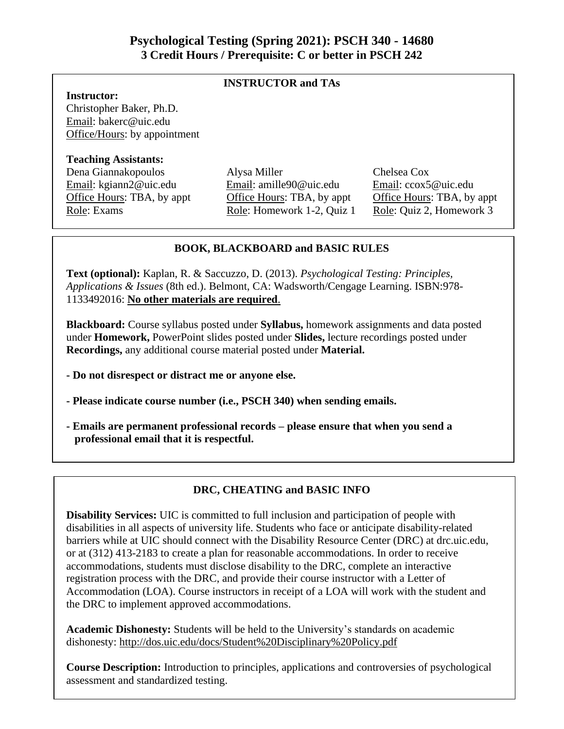## **INSTRUCTOR and TAs**

## **Instructor:**

Christopher Baker, Ph.D. Email: bakerc@uic.edu Office/Hours: by appointment

### **Teaching Assistants:**

Dena Giannakopoulos Alysa Miller Chelsea Cox

Email: kgiann2@uic.edu Email: amille90@uic.edu Email: ccox5@uic.edu Office Hours: TBA, by appt Office Hours: TBA, by appt Office Hours: TBA, by appt Role: Exams Role: Homework 1-2, Quiz 1 Role: Quiz 2, Homework 3

## **BOOK, BLACKBOARD and BASIC RULES**

**Text (optional):** Kaplan, R. & Saccuzzo, D. (2013). *Psychological Testing: Principles, Applications & Issues* (8th ed.). Belmont, CA: Wadsworth/Cengage Learning. ISBN:978- 1133492016: **No other materials are required**.

**Blackboard:** Course syllabus posted under **Syllabus,** homework assignments and data posted under **Homework,** PowerPoint slides posted under **Slides,** lecture recordings posted under **Recordings,** any additional course material posted under **Material.** 

- **- Do not disrespect or distract me or anyone else.**
- **- Please indicate course number (i.e., PSCH 340) when sending emails.**
- **- Emails are permanent professional records – please ensure that when you send a professional email that it is respectful.**

## **DRC, CHEATING and BASIC INFO**

**Disability Services:** UIC is committed to full inclusion and participation of people with disabilities in all aspects of university life. Students who face or anticipate disability-related barriers while at UIC should connect with the Disability Resource Center (DRC) at drc.uic.edu, or at (312) 413-2183 to create a plan for reasonable accommodations. In order to receive accommodations, students must disclose disability to the DRC, complete an interactive registration process with the DRC, and provide their course instructor with a Letter of Accommodation (LOA). Course instructors in receipt of a LOA will work with the student and the DRC to implement approved accommodations.

**Academic Dishonesty:** Students will be held to the University's standards on academic dishonesty: http://dos.uic.edu/docs/Student%20Disciplinary%20Policy.pdf

**Course Description:** Introduction to principles, applications and controversies of psychological assessment and standardized testing.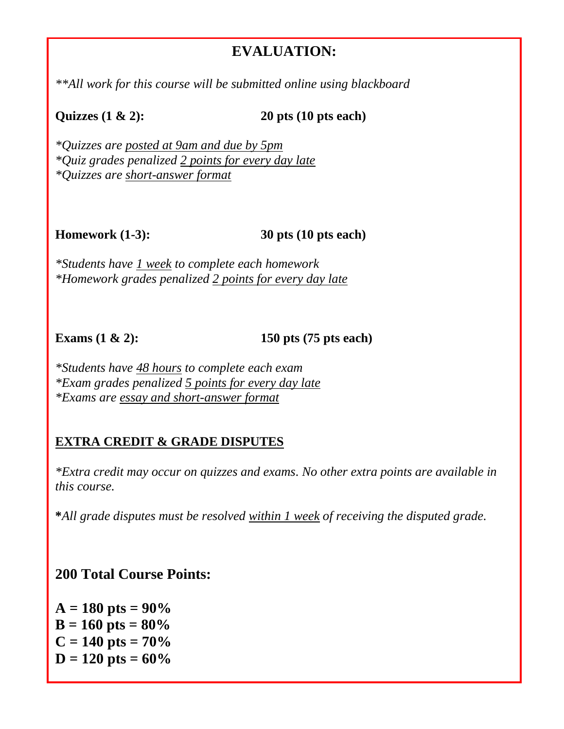# **EVALUATION:**

*\*\*All work for this course will be submitted online using blackboard*

**Quizzes (1 & 2): 20 pts (10 pts each)** 

*\*Quizzes are posted at 9am and due by 5pm \*Quiz grades penalized 2 points for every day late \*Quizzes are short-answer format*

**Homework (1-3): 30 pts (10 pts each)** 

*\*Students have 1 week to complete each homework \*Homework grades penalized 2 points for every day late*

**Exams (1 & 2): 150 pts (75 pts each)** 

*\*Students have 48 hours to complete each exam \*Exam grades penalized 5 points for every day late \*Exams are essay and short-answer format*

## **EXTRA CREDIT & GRADE DISPUTES**

*\*Extra credit may occur on quizzes and exams. No other extra points are available in this course.*

**\****All grade disputes must be resolved within 1 week of receiving the disputed grade.*

**200 Total Course Points:**

 $A = 180$  pts =  $90\%$  $B = 160$  pts =  $80\%$  $C = 140$  pts =  $70\%$  $D = 120$  pts =  $60\%$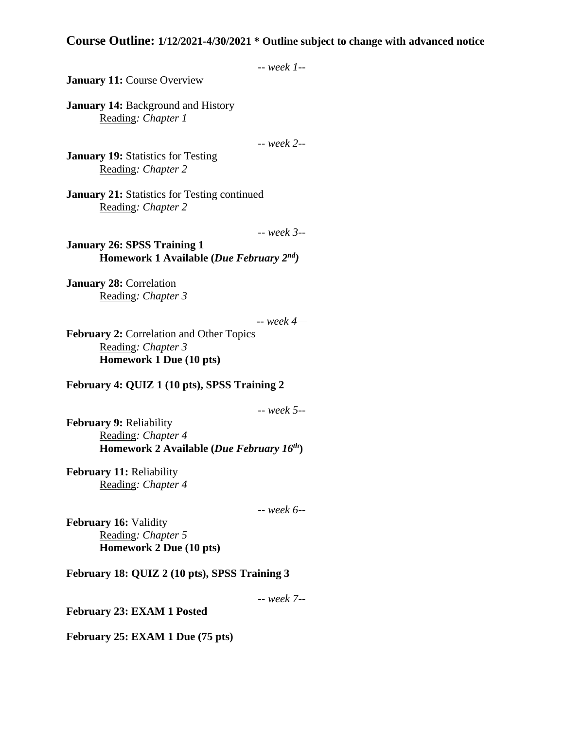## **Course Outline: 1/12/2021-4/30/2021 \* Outline subject to change with advanced notice**

```
-- week 1--
```
**January 11: Course Overview** 

**January 14: Background and History** Reading*: Chapter 1*

-- *week 2--*

**January 19:** Statistics for Testing Reading*: Chapter 2* 

**January 21:** Statistics for Testing continued Reading*: Chapter 2*

-- *week 3--*

**January 26: SPSS Training 1 Homework 1 Available (***Due February 2nd)*

**January 28:** Correlation Reading*: Chapter 3*

-- *week 4—*

**February 2:** Correlation and Other Topics Reading*: Chapter 3*  **Homework 1 Due (10 pts)**

**February 4: QUIZ 1 (10 pts), SPSS Training 2**

-- *week 5--*

**February 9:** Reliability Reading*: Chapter 4* **Homework 2 Available (***Due February 16th***)**

**February 11:** Reliability Reading*: Chapter 4* 

-- *week 6--*

**February 16:** Validity Reading*: Chapter 5* **Homework 2 Due (10 pts)**

**February 18: QUIZ 2 (10 pts), SPSS Training 3**

-- *week 7--*

**February 23: EXAM 1 Posted**

**February 25: EXAM 1 Due (75 pts)**